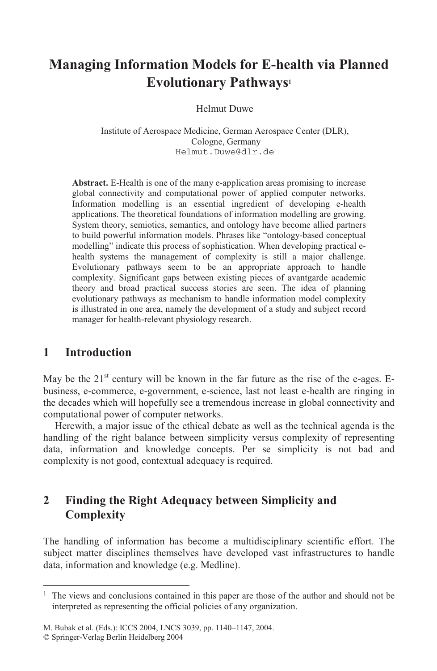# **Managing Information Models for E-health via Planned Evolutionary Pathways1**

Helmut Duwe

Institute of Aerospace Medicine, German Aerospace Center (DLR), Cologne, Germany Helmut.Duwe@dlr.de

**Abstract.** E-Health is one of the many e-application areas promising to increase global connectivity and computational power of applied computer networks. Information modelling is an essential ingredient of developing e-health applications. The theoretical foundations of information modelling are growing. System theory, semiotics, semantics, and ontology have become allied partners to build powerful information models. Phrases like "ontology-based conceptual modelling" indicate this process of sophistication. When developing practical ehealth systems the management of complexity is still a major challenge. Evolutionary pathways seem to be an appropriate approach to handle complexity. Significant gaps between existing pieces of avantgarde academic theory and broad practical success stories are seen. The idea of planning evolutionary pathways as mechanism to handle information model complexity is illustrated in one area, namely the development of a study and subject record manager for health-relevant physiology research.

### **1 Introduction**

May be the  $21<sup>st</sup>$  century will be known in the far future as the rise of the e-ages. Ebusiness, e-commerce, e-government, e-science, last not least e-health are ringing in the decades which will hopefully see a tremendous increase in global connectivity and computational power of computer networks.

Herewith, a major issue of the ethical debate as well as the technical agenda is the handling of the right balance between simplicity versus complexity of representing data, information and knowledge concepts. Per se simplicity is not bad and complexity is not good, contextual adequacy is required.

### **2 Finding the Right Adequacy between Simplicity and Complexity**

The handling of information has become a multidisciplinary scientific effort. The subject matter disciplines themselves have developed vast infrastructures to handle data, information and knowledge (e.g. Medline).

-

<sup>&</sup>lt;sup>1</sup> The views and conclusions contained in this paper are those of the author and should not be interpreted as representing the official policies of any organization.

M. Bubak et al. (Eds.): ICCS 2004, LNCS 3039, pp. 1140–1147, 2004.

<sup>©</sup> Springer-Verlag Berlin Heidelberg 2004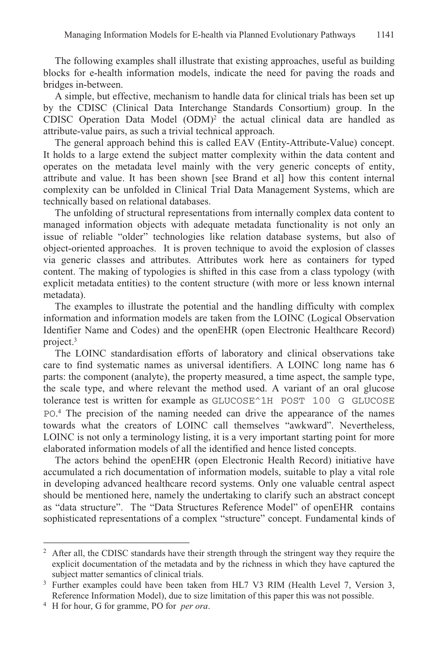The following examples shall illustrate that existing approaches, useful as building blocks for e-health information models, indicate the need for paving the roads and bridges in-between.

A simple, but effective, mechanism to handle data for clinical trials has been set up by the CDISC (Clinical Data Interchange Standards Consortium) group. In the CDISC Operation Data Model  $(ODM)^2$  the actual clinical data are handled as attribute-value pairs, as such a trivial technical approach.

The general approach behind this is called EAV (Entity-Attribute-Value) concept. It holds to a large extend the subject matter complexity within the data content and operates on the metadata level mainly with the very generic concepts of entity, attribute and value. It has been shown [see Brand et al] how this content internal complexity can be unfolded in Clinical Trial Data Management Systems, which are technically based on relational databases.

The unfolding of structural representations from internally complex data content to managed information objects with adequate metadata functionality is not only an issue of reliable "older" technologies like relation database systems, but also of object-oriented approaches. It is proven technique to avoid the explosion of classes via generic classes and attributes. Attributes work here as containers for typed content. The making of typologies is shifted in this case from a class typology (with explicit metadata entities) to the content structure (with more or less known internal metadata).

The examples to illustrate the potential and the handling difficulty with complex information and information models are taken from the LOINC (Logical Observation Identifier Name and Codes) and the openEHR (open Electronic Healthcare Record) project.3

The LOINC standardisation efforts of laboratory and clinical observations take care to find systematic names as universal identifiers. A LOINC long name has 6 parts: the component (analyte), the property measured, a time aspect, the sample type, the scale type, and where relevant the method used. A variant of an oral glucose tolerance test is written for example as GLUCOSE^1H POST 100 G GLUCOSE PO. 4 The precision of the naming needed can drive the appearance of the names towards what the creators of LOINC call themselves "awkward". Nevertheless, LOINC is not only a terminology listing, it is a very important starting point for more elaborated information models of all the identified and hence listed concepts.

The actors behind the openEHR (open Electronic Health Record) initiative have accumulated a rich documentation of information models, suitable to play a vital role in developing advanced healthcare record systems. Only one valuable central aspect should be mentioned here, namely the undertaking to clarify such an abstract concept as "data structure". The "Data Structures Reference Model" of openEHR contains sophisticated representations of a complex "structure" concept. Fundamental kinds of

j

<sup>&</sup>lt;sup>2</sup> After all, the CDISC standards have their strength through the stringent way they require the explicit documentation of the metadata and by the richness in which they have captured the subject matter semantics of clinical trials.

<sup>&</sup>lt;sup>3</sup> Further examples could have been taken from HL7 V3 RIM (Health Level 7, Version 3, Reference Information Model), due to size limitation of this paper this was not possible.

<sup>4</sup> H for hour, G for gramme, PO for *per ora*.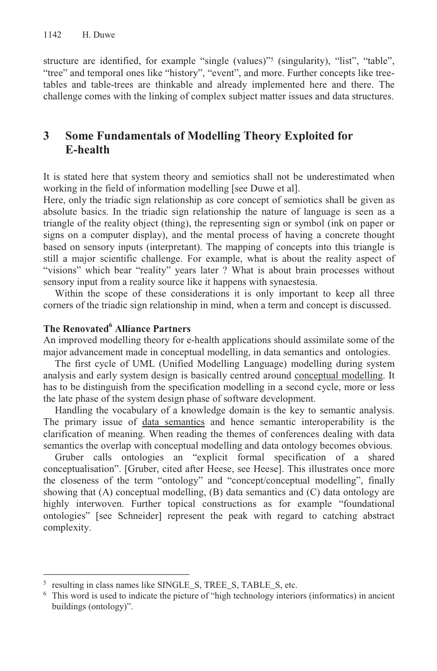structure are identified, for example "single (values)"5 (singularity), "list", "table", "tree" and temporal ones like "history", "event", and more. Further concepts like treetables and table-trees are thinkable and already implemented here and there. The challenge comes with the linking of complex subject matter issues and data structures.

# **3 Some Fundamentals of Modelling Theory Exploited for E-health**

It is stated here that system theory and semiotics shall not be underestimated when working in the field of information modelling [see Duwe et al].

Here, only the triadic sign relationship as core concept of semiotics shall be given as absolute basics. In the triadic sign relationship the nature of language is seen as a triangle of the reality object (thing), the representing sign or symbol (ink on paper or signs on a computer display), and the mental process of having a concrete thought based on sensory inputs (interpretant). The mapping of concepts into this triangle is still a major scientific challenge. For example, what is about the reality aspect of "visions" which bear "reality" years later ? What is about brain processes without sensory input from a reality source like it happens with synaestesia.

Within the scope of these considerations it is only important to keep all three corners of the triadic sign relationship in mind, when a term and concept is discussed.

### **The Renovated<sup>6</sup> Alliance Partners**

l

An improved modelling theory for e-health applications should assimilate some of the major advancement made in conceptual modelling, in data semantics and ontologies.

The first cycle of UML (Unified Modelling Language) modelling during system analysis and early system design is basically centred around conceptual modelling. It has to be distinguish from the specification modelling in a second cycle, more or less the late phase of the system design phase of software development.

Handling the vocabulary of a knowledge domain is the key to semantic analysis. The primary issue of data semantics and hence semantic interoperability is the clarification of meaning. When reading the themes of conferences dealing with data semantics the overlap with conceptual modelling and data ontology becomes obvious.

Gruber calls ontologies an "explicit formal specification of a shared conceptualisation". [Gruber, cited after Heese, see Heese]. This illustrates once more the closeness of the term "ontology" and "concept/conceptual modelling", finally showing that (A) conceptual modelling, (B) data semantics and (C) data ontology are highly interwoven. Further topical constructions as for example "foundational ontologies" [see Schneider] represent the peak with regard to catching abstract complexity.

<sup>5</sup> resulting in class names like SINGLE\_S, TREE\_S, TABLE\_S, etc.

<sup>6</sup> This word is used to indicate the picture of "high technology interiors (informatics) in ancient buildings (ontology)".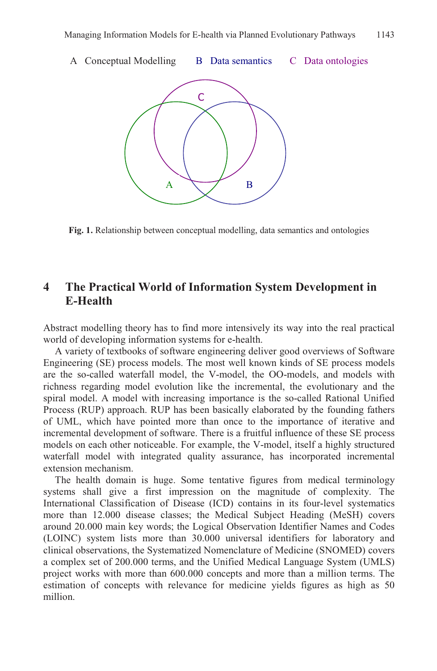#### A Conceptual Modelling B Data semantics C Data ontologies



**Fig. 1.** Relationship between conceptual modelling, data semantics and ontologies

## **4 The Practical World of Information System Development in E-Health**

Abstract modelling theory has to find more intensively its way into the real practical world of developing information systems for e-health.

A variety of textbooks of software engineering deliver good overviews of Software Engineering (SE) process models. The most well known kinds of SE process models are the so-called waterfall model, the V-model, the OO-models, and models with richness regarding model evolution like the incremental, the evolutionary and the spiral model. A model with increasing importance is the so-called Rational Unified Process (RUP) approach. RUP has been basically elaborated by the founding fathers of UML, which have pointed more than once to the importance of iterative and incremental development of software. There is a fruitful influence of these SE process models on each other noticeable. For example, the V-model, itself a highly structured waterfall model with integrated quality assurance, has incorporated incremental extension mechanism.

The health domain is huge. Some tentative figures from medical terminology systems shall give a first impression on the magnitude of complexity. The International Classification of Disease (ICD) contains in its four-level systematics more than 12.000 disease classes; the Medical Subject Heading (MeSH) covers around 20.000 main key words; the Logical Observation Identifier Names and Codes (LOINC) system lists more than 30.000 universal identifiers for laboratory and clinical observations, the Systematized Nomenclature of Medicine (SNOMED) covers a complex set of 200.000 terms, and the Unified Medical Language System (UMLS) project works with more than 600.000 concepts and more than a million terms. The estimation of concepts with relevance for medicine yields figures as high as 50 million.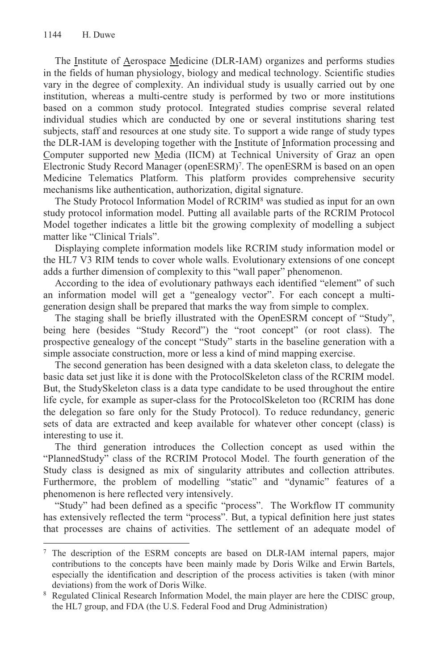-

The Institute of Aerospace Medicine (DLR-IAM) organizes and performs studies in the fields of human physiology, biology and medical technology. Scientific studies vary in the degree of complexity. An individual study is usually carried out by one institution, whereas a multi-centre study is performed by two or more institutions based on a common study protocol. Integrated studies comprise several related individual studies which are conducted by one or several institutions sharing test subjects, staff and resources at one study site. To support a wide range of study types the DLR-IAM is developing together with the Institute of Information processing and Computer supported new Media (IICM) at Technical University of Graz an open Electronic Study Record Manager (openESRM)<sup>7</sup>. The openESRM is based on an open Medicine Telematics Platform. This platform provides comprehensive security mechanisms like authentication, authorization, digital signature.

The Study Protocol Information Model of RCRIM8 was studied as input for an own study protocol information model. Putting all available parts of the RCRIM Protocol Model together indicates a little bit the growing complexity of modelling a subject matter like "Clinical Trials".

Displaying complete information models like RCRIM study information model or the HL7 V3 RIM tends to cover whole walls. Evolutionary extensions of one concept adds a further dimension of complexity to this "wall paper" phenomenon.

According to the idea of evolutionary pathways each identified "element" of such an information model will get a "genealogy vector". For each concept a multigeneration design shall be prepared that marks the way from simple to complex.

The staging shall be briefly illustrated with the OpenESRM concept of "Study", being here (besides "Study Record") the "root concept" (or root class). The prospective genealogy of the concept "Study" starts in the baseline generation with a simple associate construction, more or less a kind of mind mapping exercise.

The second generation has been designed with a data skeleton class, to delegate the basic data set just like it is done with the ProtocolSkeleton class of the RCRIM model. But, the StudySkeleton class is a data type candidate to be used throughout the entire life cycle, for example as super-class for the ProtocolSkeleton too (RCRIM has done the delegation so fare only for the Study Protocol). To reduce redundancy, generic sets of data are extracted and keep available for whatever other concept (class) is interesting to use it.

The third generation introduces the Collection concept as used within the "PlannedStudy" class of the RCRIM Protocol Model. The fourth generation of the Study class is designed as mix of singularity attributes and collection attributes. Furthermore, the problem of modelling "static" and "dynamic" features of a phenomenon is here reflected very intensively.

"Study" had been defined as a specific "process". The Workflow IT community has extensively reflected the term "process". But, a typical definition here just states that processes are chains of activities. The settlement of an adequate model of

<sup>7</sup> The description of the ESRM concepts are based on DLR-IAM internal papers, major contributions to the concepts have been mainly made by Doris Wilke and Erwin Bartels, especially the identification and description of the process activities is taken (with minor deviations) from the work of Doris Wilke.

<sup>&</sup>lt;sup>8</sup> Regulated Clinical Research Information Model, the main player are here the CDISC group, the HL7 group, and FDA (the U.S. Federal Food and Drug Administration)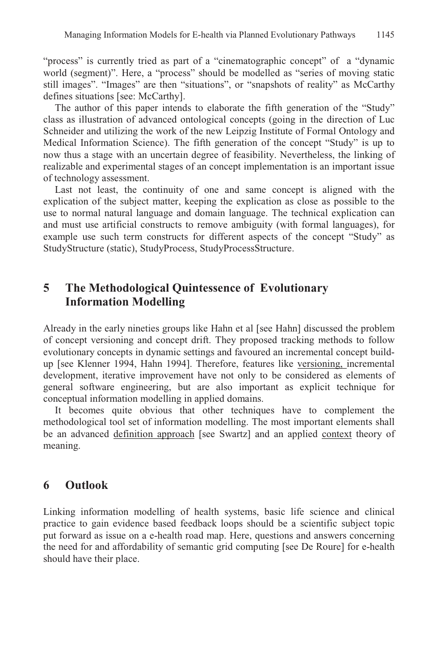"process" is currently tried as part of a "cinematographic concept" of a "dynamic world (segment)". Here, a "process" should be modelled as "series of moving static still images". "Images" are then "situations", or "snapshots of reality" as McCarthy defines situations [see: McCarthy].

The author of this paper intends to elaborate the fifth generation of the "Study" class as illustration of advanced ontological concepts (going in the direction of Luc Schneider and utilizing the work of the new Leipzig Institute of Formal Ontology and Medical Information Science). The fifth generation of the concept "Study" is up to now thus a stage with an uncertain degree of feasibility. Nevertheless, the linking of realizable and experimental stages of an concept implementation is an important issue of technology assessment.

Last not least, the continuity of one and same concept is aligned with the explication of the subject matter, keeping the explication as close as possible to the use to normal natural language and domain language. The technical explication can and must use artificial constructs to remove ambiguity (with formal languages), for example use such term constructs for different aspects of the concept "Study" as StudyStructure (static), StudyProcess, StudyProcessStructure.

### **5 The Methodological Quintessence of Evolutionary Information Modelling**

Already in the early nineties groups like Hahn et al [see Hahn] discussed the problem of concept versioning and concept drift. They proposed tracking methods to follow evolutionary concepts in dynamic settings and favoured an incremental concept buildup [see Klenner 1994, Hahn 1994]. Therefore, features like versioning, incremental development, iterative improvement have not only to be considered as elements of general software engineering, but are also important as explicit technique for conceptual information modelling in applied domains.

It becomes quite obvious that other techniques have to complement the methodological tool set of information modelling. The most important elements shall be an advanced definition approach [see Swartz] and an applied context theory of meaning.

### **6 Outlook**

Linking information modelling of health systems, basic life science and clinical practice to gain evidence based feedback loops should be a scientific subject topic put forward as issue on a e-health road map. Here, questions and answers concerning the need for and affordability of semantic grid computing [see De Roure] for e-health should have their place.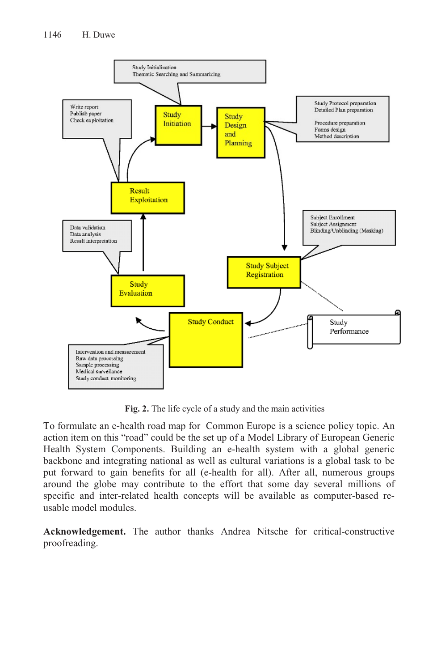

**Fig. 2.** The life cycle of a study and the main activities

To formulate an e-health road map for Common Europe is a science policy topic. An action item on this "road" could be the set up of a Model Library of European Generic Health System Components. Building an e-health system with a global generic backbone and integrating national as well as cultural variations is a global task to be put forward to gain benefits for all (e-health for all). After all, numerous groups around the globe may contribute to the effort that some day several millions of specific and inter-related health concepts will be available as computer-based reusable model modules.

**Acknowledgement.** The author thanks Andrea Nitsche for critical-constructive proofreading.